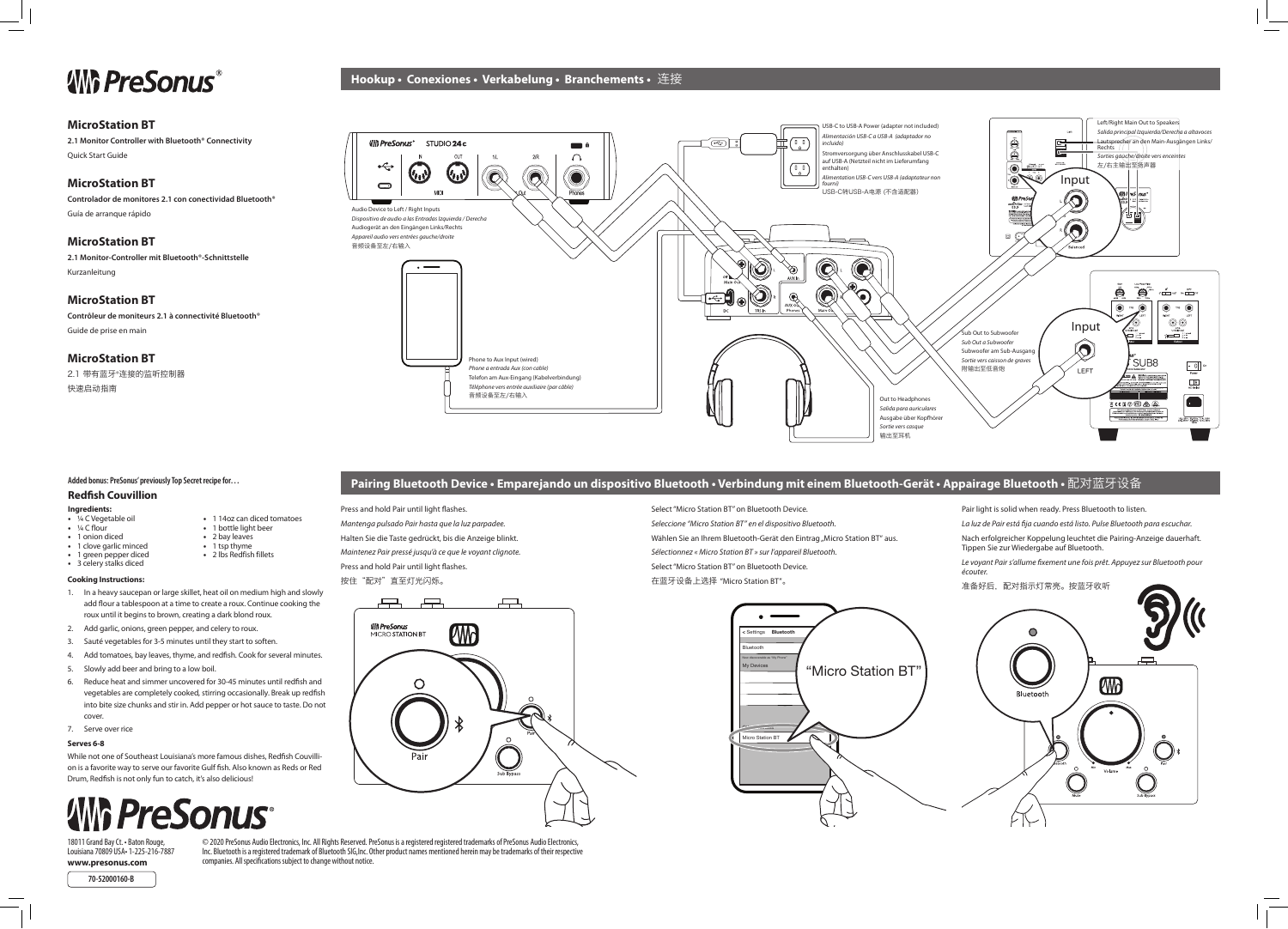**Hookup • Conexiones • Verkabelung • Branchements •** 连接

### **Pairing Bluetooth Device • Emparejando un dispositivo Bluetooth • Verbindung mit einem Bluetooth-Gerät • Appairage Bluetooth •** 配对蓝牙设备

Press and hold Pair until light flashes. *Mantenga pulsado Pair hasta que la luz parpadee.* Halten Sie die Taste gedrückt, bis die Anzeige blinkt.

*Maintenez Pair pressé jusqu'à ce que le voyant clignote.*

Press and hold Pair until light flashes.

按住"配对"直至灯光闪烁。



Select "Micro Station BT" on Bluetooth Device.

*Seleccione "Micro Station BT" en el dispositivo Bluetooth.*

*Sélectionnez « Micro Station BT » sur l'appareil Bluetooth.* Select "Micro Station BT" on Bluetooth Device.

Wählen Sie an Ihrem Bluetooth-Gerät den Eintrag "Micro Station BT" aus.

Pair light is solid when ready. Press Bluetooth to listen.

18011 Grand Bay Ct. • Baton Rouge, Louisiana 70809 USA• 1-225-216-7887 **www.presonus.com**

*La luz de Pair está fija cuando está listo. Pulse Bluetooth para escuchar.*

Nach erfolgreicher Koppelung leuchtet die Pairing-Anzeige dauerhaft. Tippen Sie zur Wiedergabe auf Bluetooth.



*Le voyant Pair s'allume fixement une fois prêt. Appuyez sur Bluetooth pour écouter.*

准备好后,配对指示灯常亮。按蓝牙收听



© 2020 PreSonus Audio Electronics, Inc. All Rights Reserved. PreSonus is a registered registered trademarks of PreSonus Audio Electronics, Inc. Bluetooth is a registered trademark of Bluetooth SIG,Inc. Other product names mentioned herein may be trademarks of their respective companies. All specifications subject to change without notice.

- ¼ C Vegetable oil
- ¼ C flour • 1 onion diced
- 2 bay leaves
	- $\cdot$  1 tsp thyme • 2 lbs Redfish fillets
- 1 clove garlic minced • 1 green pepper diced • 3 celery stalks diced
	-

## **ANG PreSonus®**

#### **MicroStation BT**

**2.1 Monitor Controller with Bluetooth® Connectivity** Quick Start Guide

#### **MicroStation BT**

**Controlador de monitores 2.1 con conectividad Bluetooth®** Guía de arranque rápido

#### **MicroStation BT**

**2.1 Monitor-Controller mit Bluetooth®-Schnittstelle** Kurzanleitung

#### **MicroStation BT**

**Contrôleur de moniteurs 2.1 à connectivité Bluetooth®** Guide de prise en main

#### **MicroStation BT**

2.1 带有蓝牙®连接的监听控制器 快速启动指南

**70-52000160-B**



### **Added bonus: PreSonus' previously Top Secret recipe for…**

#### **Redfish Couvillion**

#### **Ingredients:**

• 1 14oz can diced tomatoes • 1 bottle light beer

#### **Cooking Instructions:**

- 1. In a heavy saucepan or large skillet, heat oil on medium high and slowly add flour a tablespoon at a time to create a roux. Continue cooking the roux until it begins to brown, creating a dark blond roux.
- 2. Add garlic, onions, green pepper, and celery to roux.
- 3. Sauté vegetables for 3-5 minutes until they start to soften.
- 4. Add tomatoes, bay leaves, thyme, and redfish. Cook for several minutes.
- 5. Slowly add beer and bring to a low boil.
- 6. Reduce heat and simmer uncovered for 30-45 minutes until redfish and vegetables are completely cooked, stirring occasionally. Break up redfish into bite size chunks and stir in. Add pepper or hot sauce to taste. Do not cover.
- 7. Serve over rice

#### **Serves 6-8**

While not one of Southeast Louisiana's more famous dishes, Redfish Couvillion is a favorite way to serve our favorite Gulf fish. Also known as Reds or Red Drum, Redfish is not only fun to catch, it's also delicious!

# **AMG PreSonus**